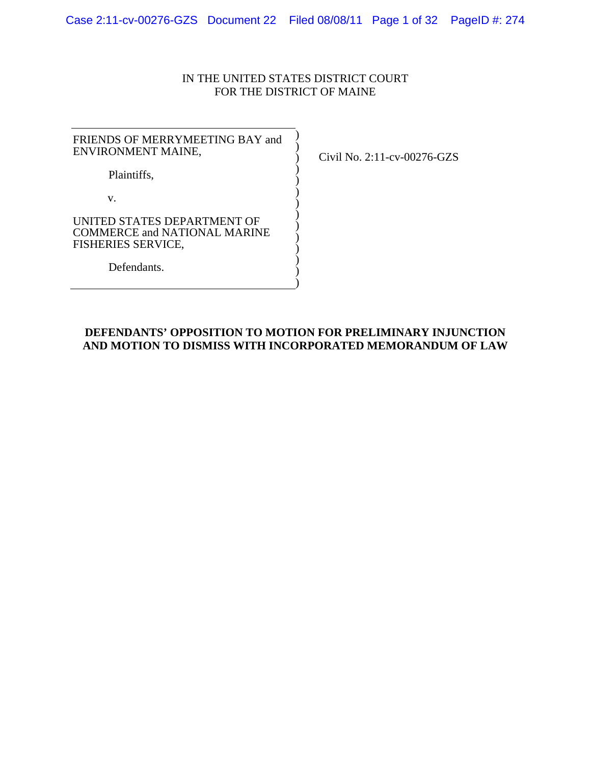## IN THE UNITED STATES DISTRICT COURT FOR THE DISTRICT OF MAINE

| FRIENDS OF MERRYMEETING BAY and<br>ENVIRONMENT MAINE,                                           |  |
|-------------------------------------------------------------------------------------------------|--|
| Plaintiffs,                                                                                     |  |
| V.                                                                                              |  |
| UNITED STATES DEPARTMENT OF<br><b>COMMERCE and NATIONAL MARINE</b><br><b>FISHERIES SERVICE,</b> |  |
| Defendants.                                                                                     |  |

Civil No. 2:11-cv-00276-GZS

# **DEFENDANTS' OPPOSITION TO MOTION FOR PRELIMINARY INJUNCTION AND MOTION TO DISMISS WITH INCORPORATED MEMORANDUM OF LAW**

)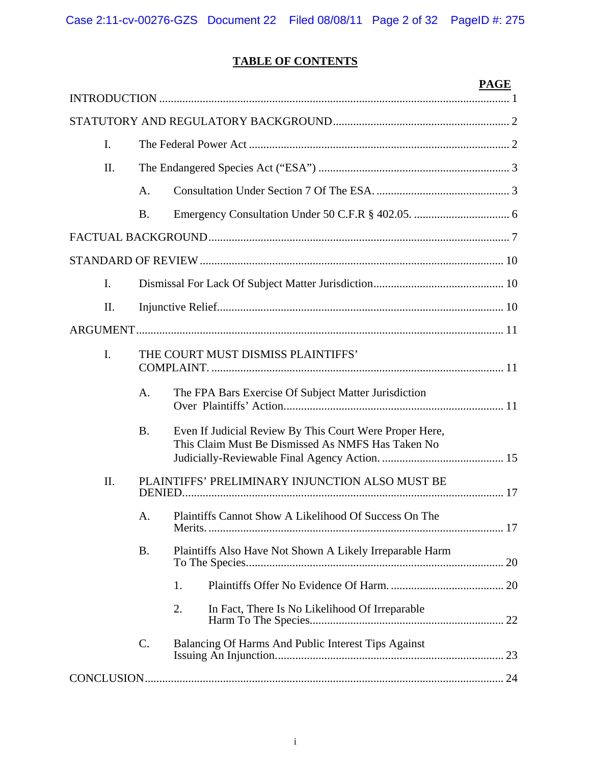# **TABLE OF CONTENTS**

|     |           |                                                                                                              | <b>PAGE</b> |
|-----|-----------|--------------------------------------------------------------------------------------------------------------|-------------|
|     |           |                                                                                                              |             |
| I.  |           |                                                                                                              |             |
| II. |           |                                                                                                              |             |
|     | A.        |                                                                                                              |             |
|     | <b>B.</b> |                                                                                                              |             |
|     |           |                                                                                                              |             |
|     |           |                                                                                                              |             |
| I.  |           |                                                                                                              |             |
| II. |           |                                                                                                              |             |
|     |           |                                                                                                              |             |
| I.  |           | THE COURT MUST DISMISS PLAINTIFFS'                                                                           |             |
|     | A.        | The FPA Bars Exercise Of Subject Matter Jurisdiction                                                         |             |
|     | <b>B.</b> | Even If Judicial Review By This Court Were Proper Here,<br>This Claim Must Be Dismissed As NMFS Has Taken No |             |
| II. |           | PLAINTIFFS' PRELIMINARY INJUNCTION ALSO MUST BE                                                              |             |
|     | А.        | Plaintiffs Cannot Show A Likelihood Of Success On The                                                        |             |
|     | <b>B.</b> | Plaintiffs Also Have Not Shown A Likely Irreparable Harm                                                     |             |
|     |           | 1.                                                                                                           |             |
|     |           | 2.<br>In Fact, There Is No Likelihood Of Irreparable                                                         |             |
|     | C.        | Balancing Of Harms And Public Interest Tips Against                                                          |             |
|     |           |                                                                                                              |             |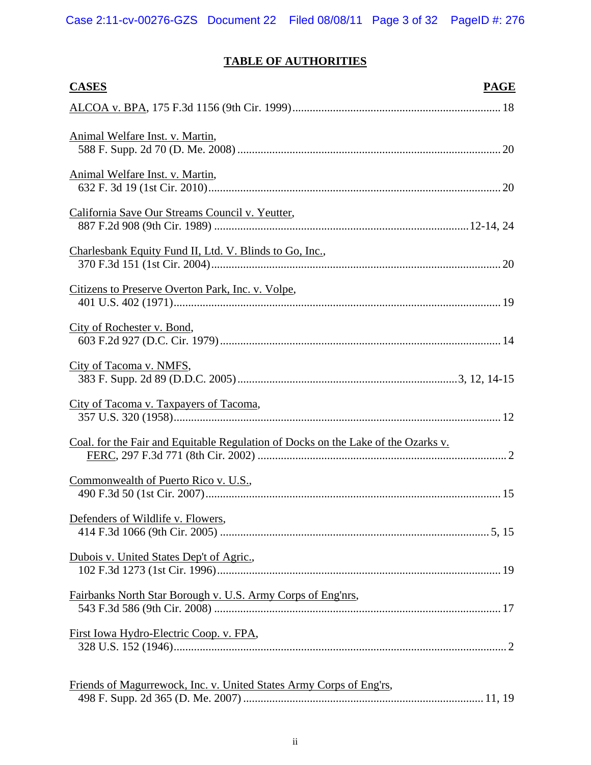# **TABLE OF AUTHORITIES**

| <b>CASES</b>                                                                      | <b>PAGE</b> |
|-----------------------------------------------------------------------------------|-------------|
|                                                                                   |             |
| Animal Welfare Inst. v. Martin,                                                   |             |
| Animal Welfare Inst. v. Martin,                                                   |             |
| California Save Our Streams Council v. Yeutter,                                   |             |
| Charlesbank Equity Fund II, Ltd. V. Blinds to Go, Inc.,                           |             |
| Citizens to Preserve Overton Park, Inc. v. Volpe,                                 |             |
| City of Rochester v. Bond,                                                        |             |
| City of Tacoma v. NMFS,                                                           |             |
| City of Tacoma v. Taxpayers of Tacoma,                                            |             |
| Coal. for the Fair and Equitable Regulation of Docks on the Lake of the Ozarks v. |             |
| Commonwealth of Puerto Rico v. U.S.,                                              |             |
| Defenders of Wildlife v. Flowers,                                                 |             |
| Dubois v. United States Dep't of Agric.,                                          |             |
| Fairbanks North Star Borough v. U.S. Army Corps of Eng'nrs,                       |             |
| First Iowa Hydro-Electric Coop. v. FPA,                                           |             |
| Friends of Magurrewock, Inc. v. United States Army Corps of Eng'rs,               |             |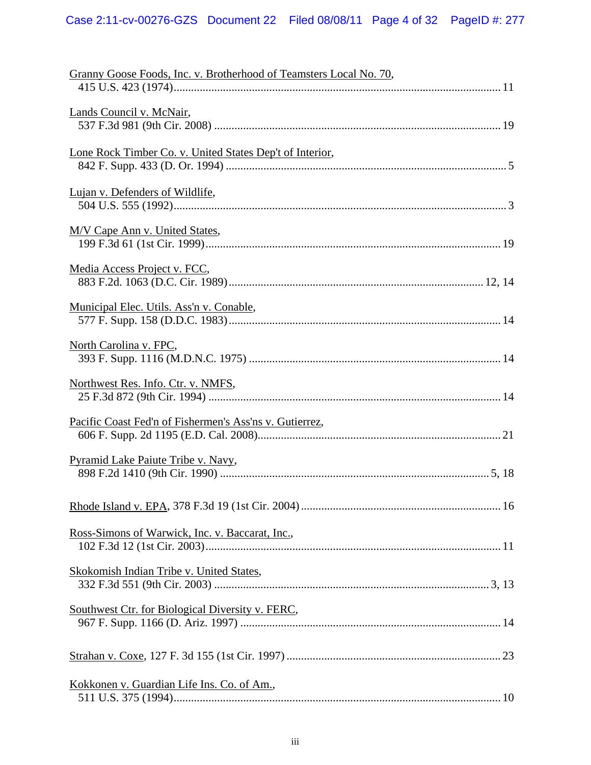| Granny Goose Foods, Inc. v. Brotherhood of Teamsters Local No. 70, |
|--------------------------------------------------------------------|
|                                                                    |
| Lands Council v. McNair,                                           |
| Lone Rock Timber Co. v. United States Dep't of Interior,           |
| Lujan v. Defenders of Wildlife,                                    |
| M/V Cape Ann v. United States,                                     |
| Media Access Project v. FCC,                                       |
| Municipal Elec. Utils. Ass'n v. Conable,                           |
| North Carolina v. FPC,                                             |
| Northwest Res. Info. Ctr. v. NMFS,                                 |
| Pacific Coast Fed'n of Fishermen's Ass'ns v. Gutierrez,            |
| Pyramid Lake Paiute Tribe v. Navy,                                 |
|                                                                    |
| Ross-Simons of Warwick, Inc. v. Baccarat, Inc.,                    |
| Skokomish Indian Tribe v. United States,                           |
| Southwest Ctr. for Biological Diversity v. FERC,                   |
|                                                                    |
| Kokkonen v. Guardian Life Ins. Co. of Am.,                         |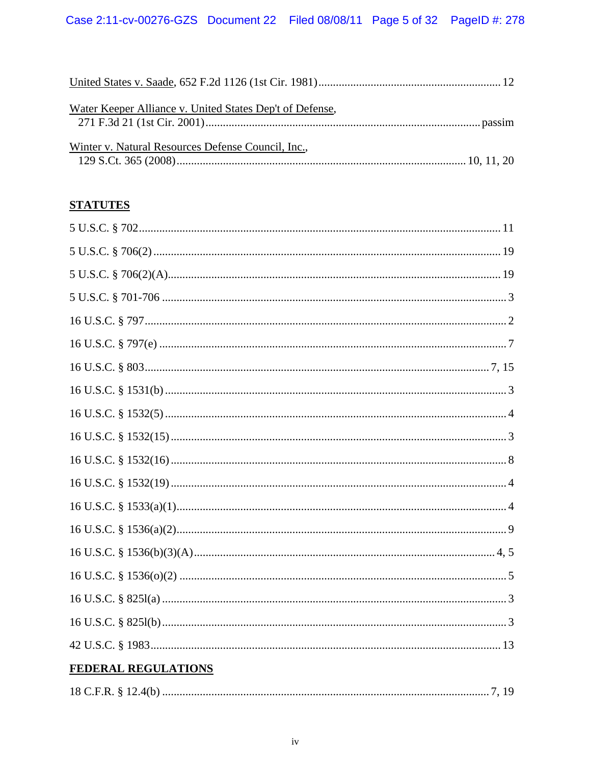| Water Keeper Alliance v. United States Dep't of Defense, |  |
|----------------------------------------------------------|--|
|                                                          |  |
| Winter v. Natural Resources Defense Council, Inc.,       |  |
|                                                          |  |

# **STATUTES**

| <b>FEDERAL REGULATIONS</b> |
|----------------------------|
|                            |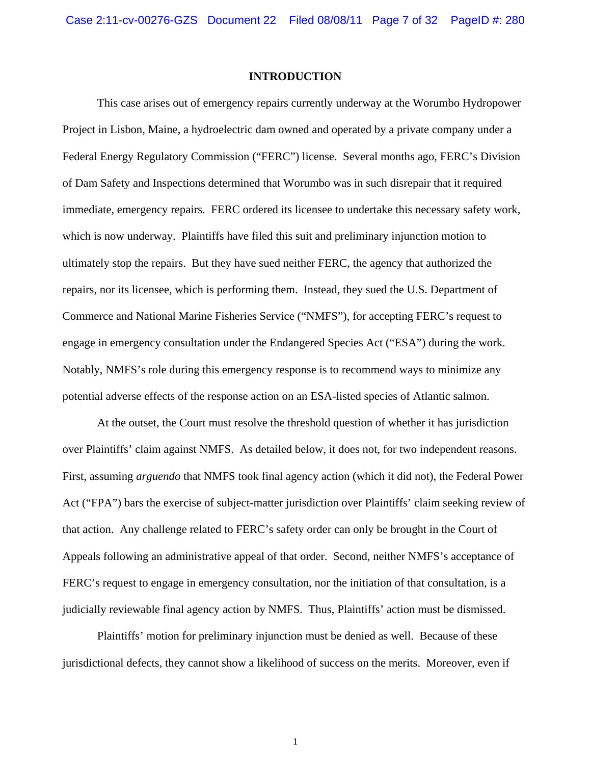#### **INTRODUCTION**

This case arises out of emergency repairs currently underway at the Worumbo Hydropower Project in Lisbon, Maine, a hydroelectric dam owned and operated by a private company under a Federal Energy Regulatory Commission ("FERC") license. Several months ago, FERC's Division of Dam Safety and Inspections determined that Worumbo was in such disrepair that it required immediate, emergency repairs. FERC ordered its licensee to undertake this necessary safety work, which is now underway. Plaintiffs have filed this suit and preliminary injunction motion to ultimately stop the repairs. But they have sued neither FERC, the agency that authorized the repairs, nor its licensee, which is performing them. Instead, they sued the U.S. Department of Commerce and National Marine Fisheries Service ("NMFS"), for accepting FERC's request to engage in emergency consultation under the Endangered Species Act ("ESA") during the work. Notably, NMFS's role during this emergency response is to recommend ways to minimize any potential adverse effects of the response action on an ESA-listed species of Atlantic salmon.

At the outset, the Court must resolve the threshold question of whether it has jurisdiction over Plaintiffs' claim against NMFS. As detailed below, it does not, for two independent reasons. First, assuming *arguendo* that NMFS took final agency action (which it did not), the Federal Power Act ("FPA") bars the exercise of subject-matter jurisdiction over Plaintiffs' claim seeking review of that action. Any challenge related to FERC's safety order can only be brought in the Court of Appeals following an administrative appeal of that order. Second, neither NMFS's acceptance of FERC's request to engage in emergency consultation, nor the initiation of that consultation, is a judicially reviewable final agency action by NMFS. Thus, Plaintiffs' action must be dismissed.

Plaintiffs' motion for preliminary injunction must be denied as well. Because of these jurisdictional defects, they cannot show a likelihood of success on the merits. Moreover, even if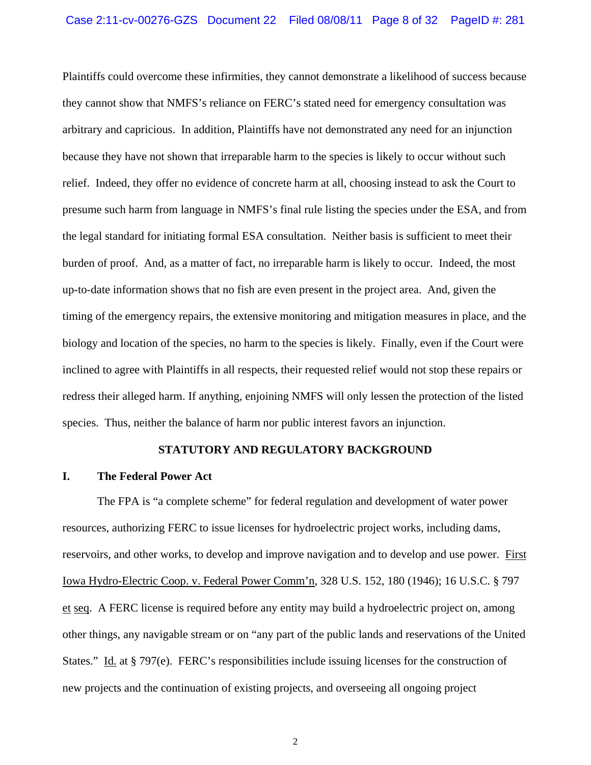Plaintiffs could overcome these infirmities, they cannot demonstrate a likelihood of success because they cannot show that NMFS's reliance on FERC's stated need for emergency consultation was arbitrary and capricious. In addition, Plaintiffs have not demonstrated any need for an injunction because they have not shown that irreparable harm to the species is likely to occur without such relief. Indeed, they offer no evidence of concrete harm at all, choosing instead to ask the Court to presume such harm from language in NMFS's final rule listing the species under the ESA, and from the legal standard for initiating formal ESA consultation. Neither basis is sufficient to meet their burden of proof. And, as a matter of fact, no irreparable harm is likely to occur. Indeed, the most up-to-date information shows that no fish are even present in the project area. And, given the timing of the emergency repairs, the extensive monitoring and mitigation measures in place, and the biology and location of the species, no harm to the species is likely. Finally, even if the Court were inclined to agree with Plaintiffs in all respects, their requested relief would not stop these repairs or redress their alleged harm. If anything, enjoining NMFS will only lessen the protection of the listed species. Thus, neither the balance of harm nor public interest favors an injunction.

### **STATUTORY AND REGULATORY BACKGROUND**

## **I. The Federal Power Act**

The FPA is "a complete scheme" for federal regulation and development of water power resources, authorizing FERC to issue licenses for hydroelectric project works, including dams, reservoirs, and other works, to develop and improve navigation and to develop and use power. First Iowa Hydro-Electric Coop. v. Federal Power Comm'n, 328 U.S. 152, 180 (1946); 16 U.S.C. § 797 et seq. A FERC license is required before any entity may build a hydroelectric project on, among other things, any navigable stream or on "any part of the public lands and reservations of the United States." Id. at § 797(e). FERC's responsibilities include issuing licenses for the construction of new projects and the continuation of existing projects, and overseeing all ongoing project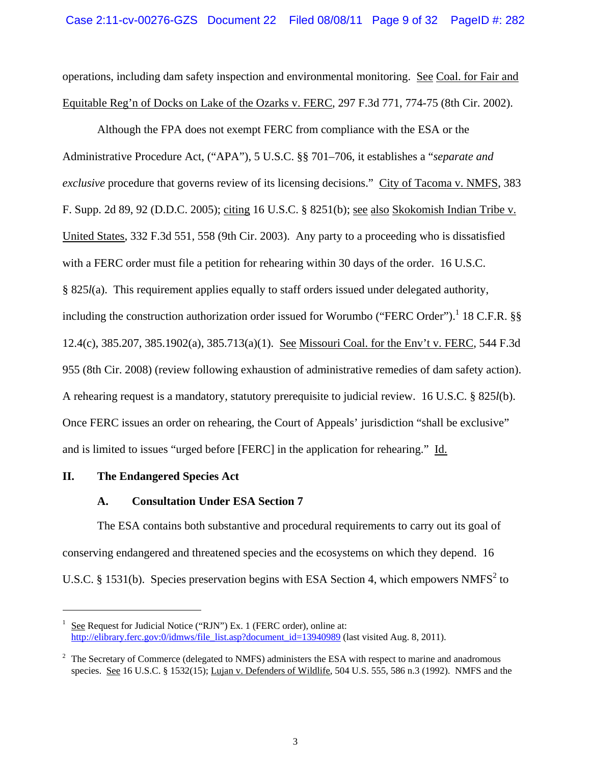operations, including dam safety inspection and environmental monitoring. See Coal. for Fair and Equitable Reg'n of Docks on Lake of the Ozarks v. FERC, 297 F.3d 771, 774-75 (8th Cir. 2002).

Although the FPA does not exempt FERC from compliance with the ESA or the Administrative Procedure Act, ("APA"), 5 U.S.C. §§ 701–706, it establishes a "*separate and exclusive* procedure that governs review of its licensing decisions." City of Tacoma v. NMFS, 383 F. Supp. 2d 89, 92 (D.D.C. 2005); citing 16 U.S.C. § 8251(b); see also Skokomish Indian Tribe v. United States, 332 F.3d 551, 558 (9th Cir. 2003). Any party to a proceeding who is dissatisfied with a FERC order must file a petition for rehearing within 30 days of the order. 16 U.S.C. § 825*l*(a). This requirement applies equally to staff orders issued under delegated authority, including the construction authorization order issued for Worumbo ("FERC Order").<sup>1</sup> 18 C.F.R. §§ 12.4(c), 385.207, 385.1902(a), 385.713(a)(1). See Missouri Coal. for the Env't v. FERC, 544 F.3d 955 (8th Cir. 2008) (review following exhaustion of administrative remedies of dam safety action). A rehearing request is a mandatory, statutory prerequisite to judicial review. 16 U.S.C. § 825*l*(b). Once FERC issues an order on rehearing, the Court of Appeals' jurisdiction "shall be exclusive" and is limited to issues "urged before [FERC] in the application for rehearing." Id.

## **II. The Endangered Species Act**

 $\overline{a}$ 

# **A. Consultation Under ESA Section 7**

The ESA contains both substantive and procedural requirements to carry out its goal of conserving endangered and threatened species and the ecosystems on which they depend. 16 U.S.C. § 1531(b). Species preservation begins with ESA Section 4, which empowers NMFS<sup>2</sup> to

<sup>1</sup> See Request for Judicial Notice ("RJN") Ex. 1 (FERC order), online at: http://elibrary.ferc.gov:0/idmws/file\_list.asp?document\_id=13940989 (last visited Aug. 8, 2011).

 $2$  The Secretary of Commerce (delegated to NMFS) administers the ESA with respect to marine and anadromous species. See 16 U.S.C. § 1532(15); Lujan v. Defenders of Wildlife, 504 U.S. 555, 586 n.3 (1992). NMFS and the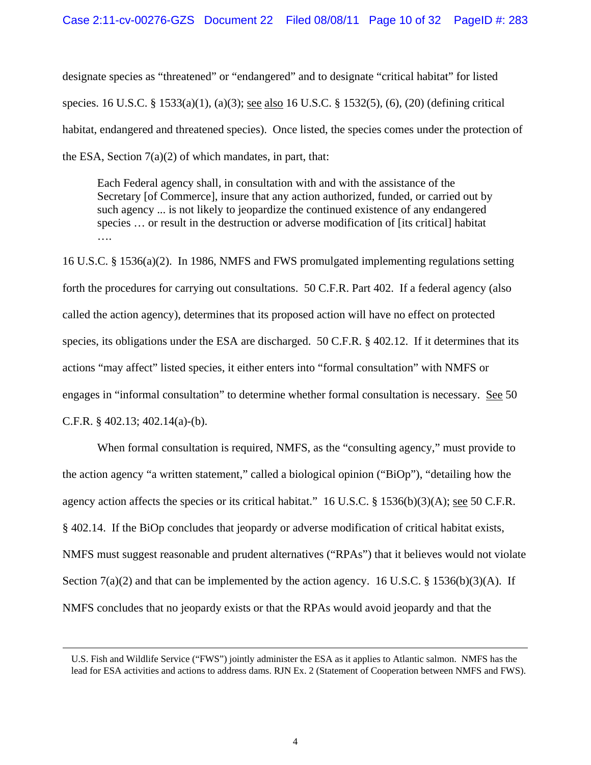designate species as "threatened" or "endangered" and to designate "critical habitat" for listed species. 16 U.S.C. § 1533(a)(1), (a)(3); see also 16 U.S.C. § 1532(5), (6), (20) (defining critical habitat, endangered and threatened species). Once listed, the species comes under the protection of the ESA, Section  $7(a)(2)$  of which mandates, in part, that:

Each Federal agency shall, in consultation with and with the assistance of the Secretary [of Commerce], insure that any action authorized, funded, or carried out by such agency ... is not likely to jeopardize the continued existence of any endangered species … or result in the destruction or adverse modification of [its critical] habitat ….

16 U.S.C. § 1536(a)(2). In 1986, NMFS and FWS promulgated implementing regulations setting forth the procedures for carrying out consultations. 50 C.F.R. Part 402. If a federal agency (also called the action agency), determines that its proposed action will have no effect on protected species, its obligations under the ESA are discharged. 50 C.F.R. § 402.12. If it determines that its actions "may affect" listed species, it either enters into "formal consultation" with NMFS or engages in "informal consultation" to determine whether formal consultation is necessary. See 50 C.F.R. § 402.13; 402.14(a)-(b).

When formal consultation is required, NMFS, as the "consulting agency," must provide to the action agency "a written statement," called a biological opinion ("BiOp"), "detailing how the agency action affects the species or its critical habitat." 16 U.S.C.  $\S$  1536(b)(3)(A); see 50 C.F.R. § 402.14. If the BiOp concludes that jeopardy or adverse modification of critical habitat exists, NMFS must suggest reasonable and prudent alternatives ("RPAs") that it believes would not violate Section  $7(a)(2)$  and that can be implemented by the action agency. 16 U.S.C. § 1536(b)(3)(A). If NMFS concludes that no jeopardy exists or that the RPAs would avoid jeopardy and that the

U.S. Fish and Wildlife Service ("FWS") jointly administer the ESA as it applies to Atlantic salmon. NMFS has the lead for ESA activities and actions to address dams. RJN Ex. 2 (Statement of Cooperation between NMFS and FWS).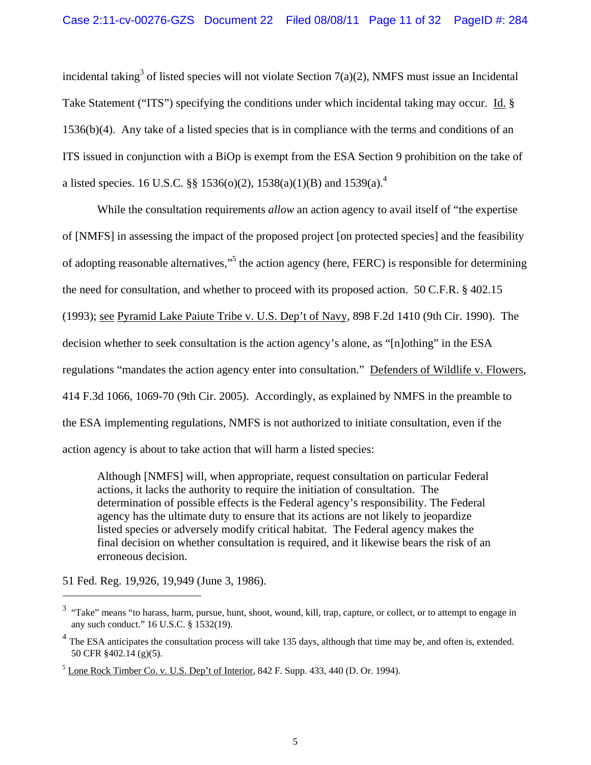incidental taking<sup>3</sup> of listed species will not violate Section 7(a)(2), NMFS must issue an Incidental Take Statement ("ITS") specifying the conditions under which incidental taking may occur. Id. § 1536(b)(4). Any take of a listed species that is in compliance with the terms and conditions of an ITS issued in conjunction with a BiOp is exempt from the ESA Section 9 prohibition on the take of a listed species. 16 U.S.C. §§ 1536(o)(2), 1538(a)(1)(B) and 1539(a).<sup>4</sup>

While the consultation requirements *allow* an action agency to avail itself of "the expertise of [NMFS] in assessing the impact of the proposed project [on protected species] and the feasibility of adopting reasonable alternatives,"<sup>5</sup> the action agency (here, FERC) is responsible for determining the need for consultation, and whether to proceed with its proposed action. 50 C.F.R. § 402.15 (1993); see Pyramid Lake Paiute Tribe v. U.S. Dep't of Navy, 898 F.2d 1410 (9th Cir. 1990). The decision whether to seek consultation is the action agency's alone, as "[n]othing" in the ESA regulations "mandates the action agency enter into consultation." Defenders of Wildlife v. Flowers, 414 F.3d 1066, 1069-70 (9th Cir. 2005). Accordingly, as explained by NMFS in the preamble to the ESA implementing regulations, NMFS is not authorized to initiate consultation, even if the action agency is about to take action that will harm a listed species:

Although [NMFS] will, when appropriate, request consultation on particular Federal actions, it lacks the authority to require the initiation of consultation. The determination of possible effects is the Federal agency's responsibility. The Federal agency has the ultimate duty to ensure that its actions are not likely to jeopardize listed species or adversely modify critical habitat. The Federal agency makes the final decision on whether consultation is required, and it likewise bears the risk of an erroneous decision.

51 Fed. Reg. 19,926, 19,949 (June 3, 1986).

<sup>&</sup>lt;sup>3</sup> "Take" means "to harass, harm, pursue, hunt, shoot, wound, kill, trap, capture, or collect, or to attempt to engage in any such conduct." 16 U.S.C. § 1532(19).

 $4$  The ESA anticipates the consultation process will take 135 days, although that time may be, and often is, extended. 50 CFR §402.14 (g)(5).

 $<sup>5</sup>$  Lone Rock Timber Co. v. U.S. Dep't of Interior, 842 F. Supp. 433, 440 (D. Or. 1994).</sup>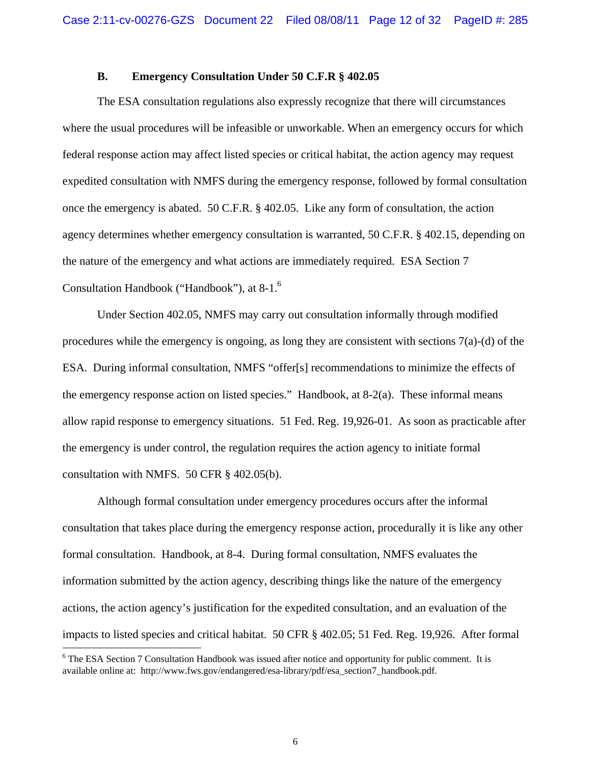## **B. Emergency Consultation Under 50 C.F.R § 402.05**

The ESA consultation regulations also expressly recognize that there will circumstances where the usual procedures will be infeasible or unworkable. When an emergency occurs for which federal response action may affect listed species or critical habitat, the action agency may request expedited consultation with NMFS during the emergency response, followed by formal consultation once the emergency is abated. 50 C.F.R. § 402.05. Like any form of consultation, the action agency determines whether emergency consultation is warranted, 50 C.F.R. § 402.15, depending on the nature of the emergency and what actions are immediately required. ESA Section 7 Consultation Handbook ("Handbook"), at 8-1.6

Under Section 402.05, NMFS may carry out consultation informally through modified procedures while the emergency is ongoing, as long they are consistent with sections 7(a)-(d) of the ESA. During informal consultation, NMFS "offer[s] recommendations to minimize the effects of the emergency response action on listed species." Handbook, at 8-2(a). These informal means allow rapid response to emergency situations. 51 Fed. Reg. 19,926-01. As soon as practicable after the emergency is under control, the regulation requires the action agency to initiate formal consultation with NMFS. 50 CFR § 402.05(b).

Although formal consultation under emergency procedures occurs after the informal consultation that takes place during the emergency response action, procedurally it is like any other formal consultation. Handbook, at 8-4. During formal consultation, NMFS evaluates the information submitted by the action agency, describing things like the nature of the emergency actions, the action agency's justification for the expedited consultation, and an evaluation of the impacts to listed species and critical habitat. 50 CFR § 402.05; 51 Fed. Reg. 19,926. After formal

<sup>&</sup>lt;sup>6</sup> The ESA Section 7 Consultation Handbook was issued after notice and opportunity for public comment. It is available online at: http://www.fws.gov/endangered/esa-library/pdf/esa\_section7\_handbook.pdf.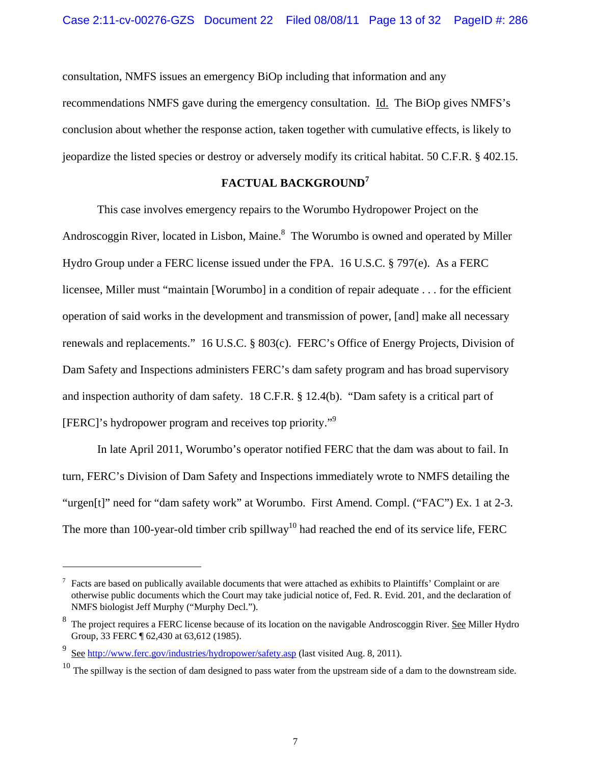consultation, NMFS issues an emergency BiOp including that information and any recommendations NMFS gave during the emergency consultation. Id. The BiOp gives NMFS's conclusion about whether the response action, taken together with cumulative effects, is likely to jeopardize the listed species or destroy or adversely modify its critical habitat. 50 C.F.R. § 402.15.

# **FACTUAL BACKGROUND<sup>7</sup>**

This case involves emergency repairs to the Worumbo Hydropower Project on the Androscoggin River, located in Lisbon, Maine.<sup>8</sup> The Worumbo is owned and operated by Miller Hydro Group under a FERC license issued under the FPA. 16 U.S.C. § 797(e). As a FERC licensee, Miller must "maintain [Worumbo] in a condition of repair adequate . . . for the efficient operation of said works in the development and transmission of power, [and] make all necessary renewals and replacements." 16 U.S.C. § 803(c). FERC's Office of Energy Projects, Division of Dam Safety and Inspections administers FERC's dam safety program and has broad supervisory and inspection authority of dam safety. 18 C.F.R. § 12.4(b). "Dam safety is a critical part of [FERC]'s hydropower program and receives top priority."9

In late April 2011, Worumbo's operator notified FERC that the dam was about to fail. In turn, FERC's Division of Dam Safety and Inspections immediately wrote to NMFS detailing the "urgen[t]" need for "dam safety work" at Worumbo. First Amend. Compl. ("FAC") Ex. 1 at 2-3. The more than 100-year-old timber crib spillway<sup>10</sup> had reached the end of its service life, FERC

 $7$  Facts are based on publically available documents that were attached as exhibits to Plaintiffs' Complaint or are otherwise public documents which the Court may take judicial notice of, Fed. R. Evid. 201, and the declaration of NMFS biologist Jeff Murphy ("Murphy Decl.").

<sup>&</sup>lt;sup>8</sup> The project requires a FERC license because of its location on the navigable Androscoggin River. See Miller Hydro Group, 33 FERC ¶ 62,430 at 63,612 (1985).

<sup>9</sup> See http://www.ferc.gov/industries/hydropower/safety.asp (last visited Aug. 8, 2011).

 $10$  The spillway is the section of dam designed to pass water from the upstream side of a dam to the downstream side.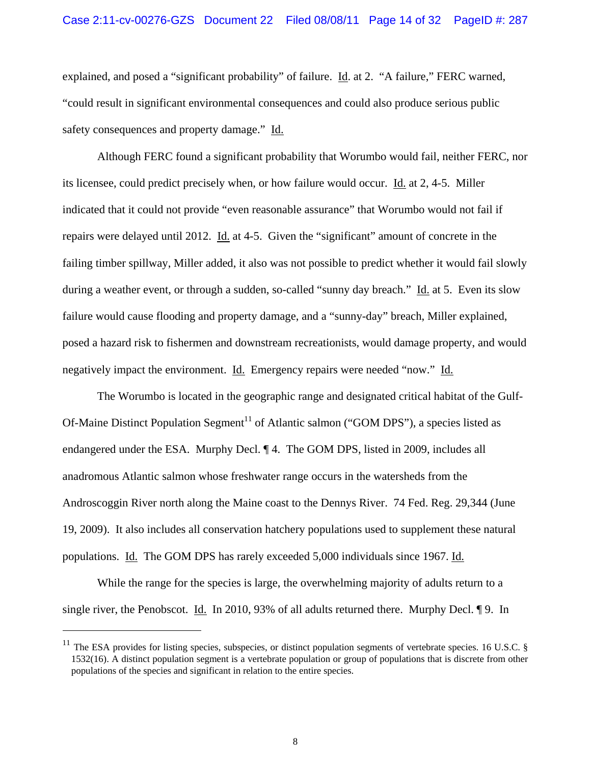explained, and posed a "significant probability" of failure. Id. at 2. "A failure," FERC warned, "could result in significant environmental consequences and could also produce serious public safety consequences and property damage." Id.

Although FERC found a significant probability that Worumbo would fail, neither FERC, nor its licensee, could predict precisely when, or how failure would occur. Id. at 2, 4-5. Miller indicated that it could not provide "even reasonable assurance" that Worumbo would not fail if repairs were delayed until 2012. Id. at 4-5. Given the "significant" amount of concrete in the failing timber spillway, Miller added, it also was not possible to predict whether it would fail slowly during a weather event, or through a sudden, so-called "sunny day breach." Id. at 5. Even its slow failure would cause flooding and property damage, and a "sunny-day" breach, Miller explained, posed a hazard risk to fishermen and downstream recreationists, would damage property, and would negatively impact the environment. Id. Emergency repairs were needed "now." Id.

The Worumbo is located in the geographic range and designated critical habitat of the Gulf-Of-Maine Distinct Population Segment<sup>11</sup> of Atlantic salmon ("GOM DPS"), a species listed as endangered under the ESA. Murphy Decl. ¶ 4. The GOM DPS, listed in 2009, includes all anadromous Atlantic salmon whose freshwater range occurs in the watersheds from the Androscoggin River north along the Maine coast to the Dennys River. 74 Fed. Reg. 29,344 (June 19, 2009). It also includes all conservation hatchery populations used to supplement these natural populations. Id. The GOM DPS has rarely exceeded 5,000 individuals since 1967. Id.

While the range for the species is large, the overwhelming majority of adults return to a single river, the Penobscot. Id. In 2010, 93% of all adults returned there. Murphy Decl. 19. In

 $11$  The ESA provides for listing species, subspecies, or distinct population segments of vertebrate species. 16 U.S.C. § 1532(16). A distinct population segment is a vertebrate population or group of populations that is discrete from other populations of the species and significant in relation to the entire species.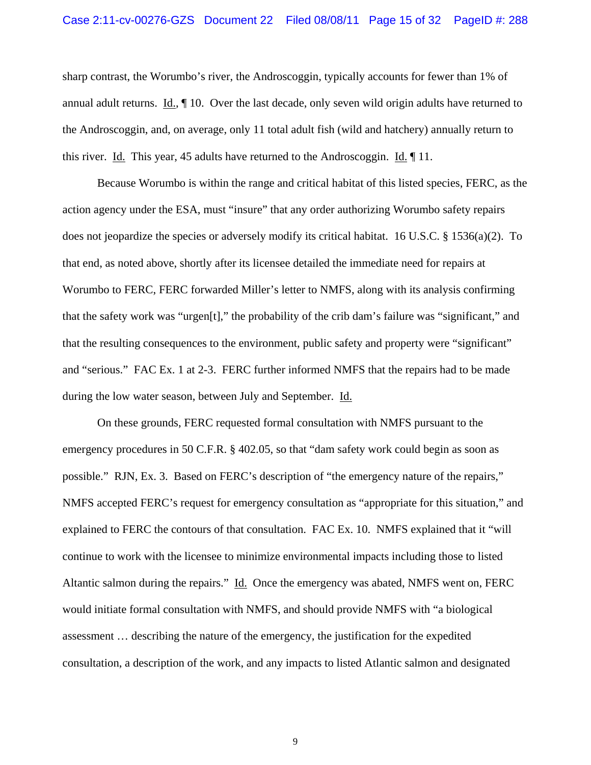#### Case 2:11-cv-00276-GZS Document 22 Filed 08/08/11 Page 15 of 32 PageID #: 288

sharp contrast, the Worumbo's river, the Androscoggin, typically accounts for fewer than 1% of annual adult returns. Id., ¶ 10. Over the last decade, only seven wild origin adults have returned to the Androscoggin, and, on average, only 11 total adult fish (wild and hatchery) annually return to this river. Id. This year, 45 adults have returned to the Androscoggin. Id. ¶ 11.

Because Worumbo is within the range and critical habitat of this listed species, FERC, as the action agency under the ESA, must "insure" that any order authorizing Worumbo safety repairs does not jeopardize the species or adversely modify its critical habitat. 16 U.S.C. § 1536(a)(2). To that end, as noted above, shortly after its licensee detailed the immediate need for repairs at Worumbo to FERC, FERC forwarded Miller's letter to NMFS, along with its analysis confirming that the safety work was "urgen[t]," the probability of the crib dam's failure was "significant," and that the resulting consequences to the environment, public safety and property were "significant" and "serious." FAC Ex. 1 at 2-3. FERC further informed NMFS that the repairs had to be made during the low water season, between July and September. Id.

On these grounds, FERC requested formal consultation with NMFS pursuant to the emergency procedures in 50 C.F.R. § 402.05, so that "dam safety work could begin as soon as possible." RJN, Ex. 3. Based on FERC's description of "the emergency nature of the repairs," NMFS accepted FERC's request for emergency consultation as "appropriate for this situation," and explained to FERC the contours of that consultation. FAC Ex. 10. NMFS explained that it "will continue to work with the licensee to minimize environmental impacts including those to listed Altantic salmon during the repairs." Id. Once the emergency was abated, NMFS went on, FERC would initiate formal consultation with NMFS, and should provide NMFS with "a biological assessment … describing the nature of the emergency, the justification for the expedited consultation, a description of the work, and any impacts to listed Atlantic salmon and designated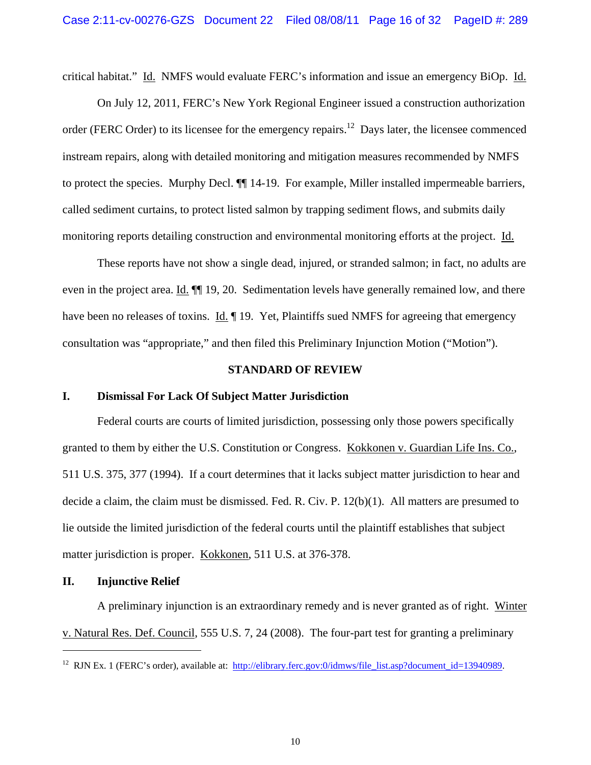critical habitat." Id. NMFS would evaluate FERC's information and issue an emergency BiOp. Id.

On July 12, 2011, FERC's New York Regional Engineer issued a construction authorization order (FERC Order) to its licensee for the emergency repairs.<sup>12</sup> Days later, the licensee commenced instream repairs, along with detailed monitoring and mitigation measures recommended by NMFS to protect the species. Murphy Decl. ¶¶ 14-19. For example, Miller installed impermeable barriers, called sediment curtains, to protect listed salmon by trapping sediment flows, and submits daily monitoring reports detailing construction and environmental monitoring efforts at the project. Id.

These reports have not show a single dead, injured, or stranded salmon; in fact, no adults are even in the project area. Id.  $\P$  19, 20. Sedimentation levels have generally remained low, and there have been no releases of toxins. Id.  $\P$  19. Yet, Plaintiffs sued NMFS for agreeing that emergency consultation was "appropriate," and then filed this Preliminary Injunction Motion ("Motion").

#### **STANDARD OF REVIEW**

#### **I. Dismissal For Lack Of Subject Matter Jurisdiction**

Federal courts are courts of limited jurisdiction, possessing only those powers specifically granted to them by either the U.S. Constitution or Congress. Kokkonen v. Guardian Life Ins. Co., 511 U.S. 375, 377 (1994). If a court determines that it lacks subject matter jurisdiction to hear and decide a claim, the claim must be dismissed. Fed. R. Civ. P. 12(b)(1). All matters are presumed to lie outside the limited jurisdiction of the federal courts until the plaintiff establishes that subject matter jurisdiction is proper. Kokkonen, 511 U.S. at 376-378.

## **II. Injunctive Relief**

 $\overline{a}$ 

A preliminary injunction is an extraordinary remedy and is never granted as of right. Winter v. Natural Res. Def. Council, 555 U.S. 7, 24 (2008). The four-part test for granting a preliminary

<sup>&</sup>lt;sup>12</sup> RJN Ex. 1 (FERC's order), available at: http://elibrary.ferc.gov:0/idmws/file\_list.asp?document\_id=13940989.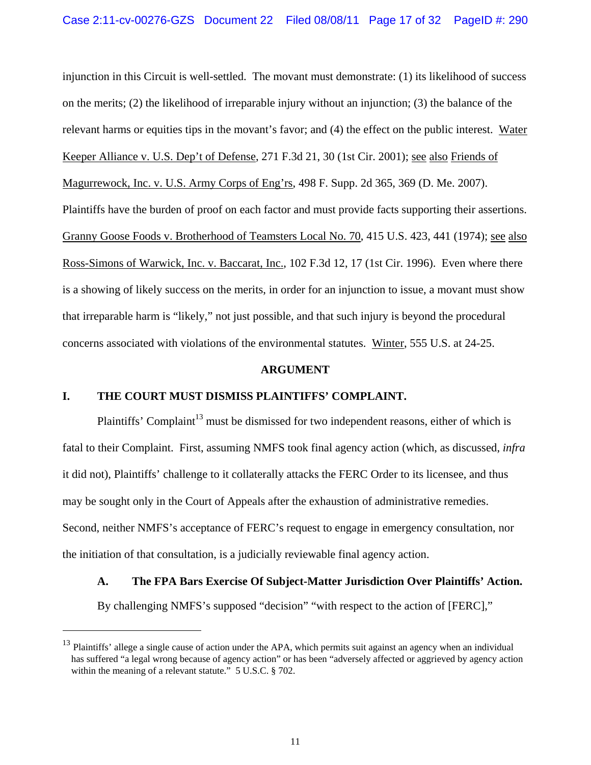injunction in this Circuit is well-settled. The movant must demonstrate: (1) its likelihood of success on the merits; (2) the likelihood of irreparable injury without an injunction; (3) the balance of the relevant harms or equities tips in the movant's favor; and (4) the effect on the public interest. Water Keeper Alliance v. U.S. Dep't of Defense, 271 F.3d 21, 30 (1st Cir. 2001); see also Friends of Magurrewock, Inc. v. U.S. Army Corps of Eng'rs, 498 F. Supp. 2d 365, 369 (D. Me. 2007). Plaintiffs have the burden of proof on each factor and must provide facts supporting their assertions. Granny Goose Foods v. Brotherhood of Teamsters Local No. 70, 415 U.S. 423, 441 (1974); see also Ross-Simons of Warwick, Inc. v. Baccarat, Inc., 102 F.3d 12, 17 (1st Cir. 1996). Even where there is a showing of likely success on the merits, in order for an injunction to issue, a movant must show that irreparable harm is "likely," not just possible, and that such injury is beyond the procedural concerns associated with violations of the environmental statutes. Winter, 555 U.S. at 24-25.

#### **ARGUMENT**

### **I. THE COURT MUST DISMISS PLAINTIFFS' COMPLAINT.**

 $\overline{a}$ 

Plaintiffs' Complaint<sup>13</sup> must be dismissed for two independent reasons, either of which is fatal to their Complaint. First, assuming NMFS took final agency action (which, as discussed, *infra* it did not), Plaintiffs' challenge to it collaterally attacks the FERC Order to its licensee, and thus may be sought only in the Court of Appeals after the exhaustion of administrative remedies. Second, neither NMFS's acceptance of FERC's request to engage in emergency consultation, nor the initiation of that consultation, is a judicially reviewable final agency action.

## **A. The FPA Bars Exercise Of Subject-Matter Jurisdiction Over Plaintiffs' Action.**

By challenging NMFS's supposed "decision" "with respect to the action of [FERC],"

 $13$  Plaintiffs' allege a single cause of action under the APA, which permits suit against an agency when an individual has suffered "a legal wrong because of agency action" or has been "adversely affected or aggrieved by agency action within the meaning of a relevant statute." 5 U.S.C. § 702.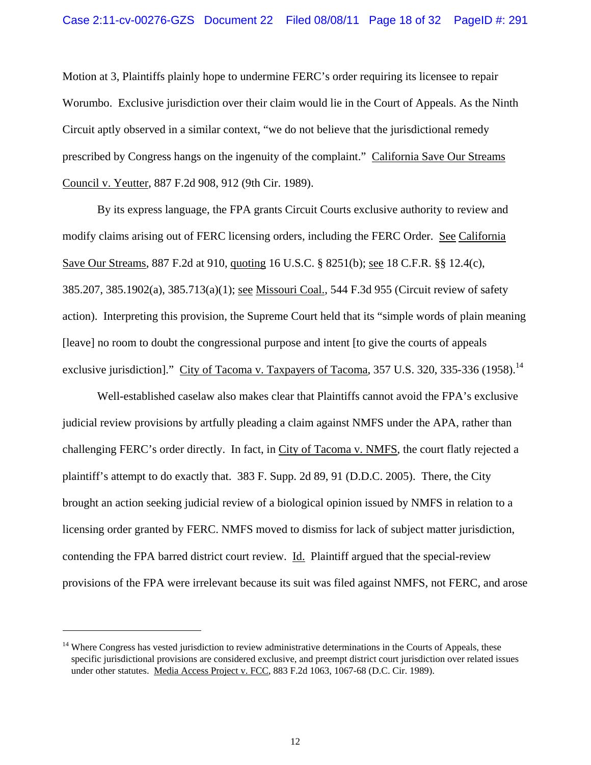Motion at 3, Plaintiffs plainly hope to undermine FERC's order requiring its licensee to repair Worumbo. Exclusive jurisdiction over their claim would lie in the Court of Appeals. As the Ninth Circuit aptly observed in a similar context, "we do not believe that the jurisdictional remedy prescribed by Congress hangs on the ingenuity of the complaint." California Save Our Streams Council v. Yeutter, 887 F.2d 908, 912 (9th Cir. 1989).

By its express language, the FPA grants Circuit Courts exclusive authority to review and modify claims arising out of FERC licensing orders, including the FERC Order. See California Save Our Streams, 887 F.2d at 910, quoting 16 U.S.C. § 8251(b); see 18 C.F.R. §§ 12.4(c), 385.207, 385.1902(a), 385.713(a)(1); see Missouri Coal., 544 F.3d 955 (Circuit review of safety action). Interpreting this provision, the Supreme Court held that its "simple words of plain meaning [leave] no room to doubt the congressional purpose and intent [to give the courts of appeals exclusive jurisdiction]." City of Tacoma v. Taxpayers of Tacoma,  $357$  U.S.  $320$ ,  $335-336$  (1958).<sup>14</sup>

Well-established caselaw also makes clear that Plaintiffs cannot avoid the FPA's exclusive judicial review provisions by artfully pleading a claim against NMFS under the APA, rather than challenging FERC's order directly. In fact, in City of Tacoma v. NMFS, the court flatly rejected a plaintiff's attempt to do exactly that. 383 F. Supp. 2d 89, 91 (D.D.C. 2005). There, the City brought an action seeking judicial review of a biological opinion issued by NMFS in relation to a licensing order granted by FERC. NMFS moved to dismiss for lack of subject matter jurisdiction, contending the FPA barred district court review. Id. Plaintiff argued that the special-review provisions of the FPA were irrelevant because its suit was filed against NMFS, not FERC, and arose

 $14$  Where Congress has vested jurisdiction to review administrative determinations in the Courts of Appeals, these specific jurisdictional provisions are considered exclusive, and preempt district court jurisdiction over related issues under other statutes. Media Access Project v. FCC, 883 F.2d 1063, 1067-68 (D.C. Cir. 1989).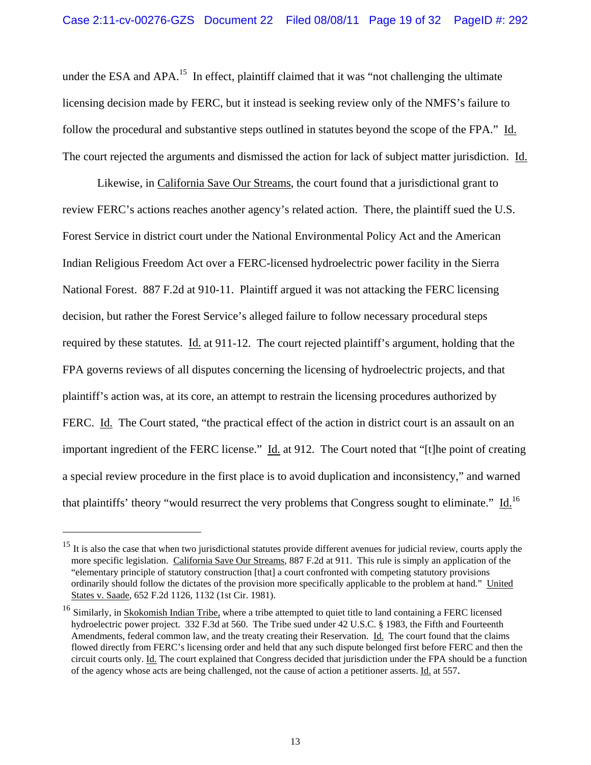under the ESA and  $APA$ <sup>15</sup>. In effect, plaintiff claimed that it was "not challenging the ultimate licensing decision made by FERC, but it instead is seeking review only of the NMFS's failure to follow the procedural and substantive steps outlined in statutes beyond the scope of the FPA." Id. The court rejected the arguments and dismissed the action for lack of subject matter jurisdiction. Id.

Likewise, in California Save Our Streams, the court found that a jurisdictional grant to review FERC's actions reaches another agency's related action. There, the plaintiff sued the U.S. Forest Service in district court under the National Environmental Policy Act and the American Indian Religious Freedom Act over a FERC-licensed hydroelectric power facility in the Sierra National Forest. 887 F.2d at 910-11. Plaintiff argued it was not attacking the FERC licensing decision, but rather the Forest Service's alleged failure to follow necessary procedural steps required by these statutes. Id. at 911-12. The court rejected plaintiff's argument, holding that the FPA governs reviews of all disputes concerning the licensing of hydroelectric projects, and that plaintiff's action was, at its core, an attempt to restrain the licensing procedures authorized by FERC. Id. The Court stated, "the practical effect of the action in district court is an assault on an important ingredient of the FERC license." Id. at 912. The Court noted that "[t]he point of creating a special review procedure in the first place is to avoid duplication and inconsistency," and warned that plaintiffs' theory "would resurrect the very problems that Congress sought to eliminate." Id.<sup>16</sup>

 $15$  It is also the case that when two jurisdictional statutes provide different avenues for judicial review, courts apply the more specific legislation. California Save Our Streams, 887 F.2d at 911. This rule is simply an application of the "elementary principle of statutory construction [that] a court confronted with competing statutory provisions ordinarily should follow the dictates of the provision more specifically applicable to the problem at hand." United States v. Saade, 652 F.2d 1126, 1132 (1st Cir. 1981).

 $16$  Similarly, in Skokomish Indian Tribe, where a tribe attempted to quiet title to land containing a FERC licensed hydroelectric power project. 332 F.3d at 560. The Tribe sued under 42 U.S.C. § 1983, the Fifth and Fourteenth Amendments, federal common law, and the treaty creating their Reservation. Id. The court found that the claims flowed directly from FERC's licensing order and held that any such dispute belonged first before FERC and then the circuit courts only. Id. The court explained that Congress decided that jurisdiction under the FPA should be a function of the agency whose acts are being challenged, not the cause of action a petitioner asserts. Id. at 557.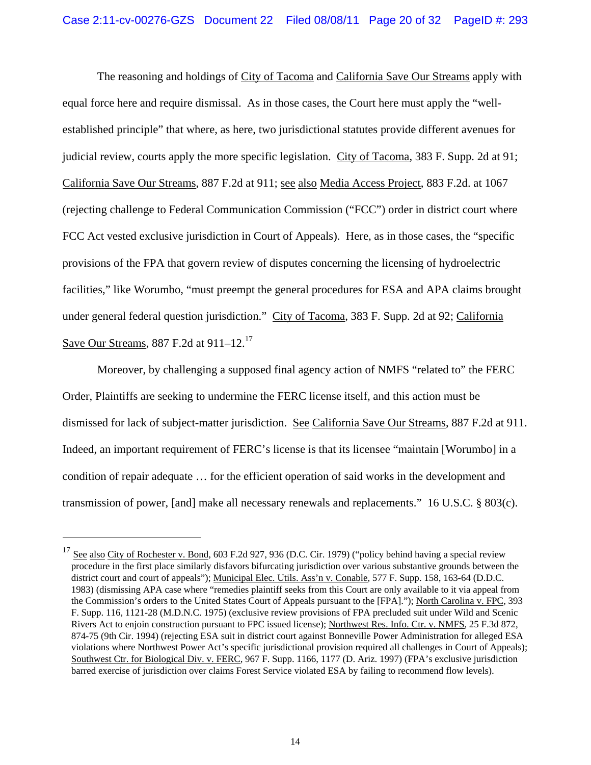The reasoning and holdings of City of Tacoma and California Save Our Streams apply with equal force here and require dismissal. As in those cases, the Court here must apply the "wellestablished principle" that where, as here, two jurisdictional statutes provide different avenues for judicial review, courts apply the more specific legislation. City of Tacoma, 383 F. Supp. 2d at 91; California Save Our Streams, 887 F.2d at 911; see also Media Access Project, 883 F.2d. at 1067 (rejecting challenge to Federal Communication Commission ("FCC") order in district court where FCC Act vested exclusive jurisdiction in Court of Appeals). Here, as in those cases, the "specific provisions of the FPA that govern review of disputes concerning the licensing of hydroelectric facilities," like Worumbo, "must preempt the general procedures for ESA and APA claims brought under general federal question jurisdiction." City of Tacoma, 383 F. Supp. 2d at 92; California Save Our Streams, 887 F.2d at 911–12.17

Moreover, by challenging a supposed final agency action of NMFS "related to" the FERC Order, Plaintiffs are seeking to undermine the FERC license itself, and this action must be dismissed for lack of subject-matter jurisdiction. See California Save Our Streams, 887 F.2d at 911. Indeed, an important requirement of FERC's license is that its licensee "maintain [Worumbo] in a condition of repair adequate … for the efficient operation of said works in the development and transmission of power, [and] make all necessary renewals and replacements." 16 U.S.C. § 803(c).

<sup>&</sup>lt;sup>17</sup> See also City of Rochester v. Bond, 603 F.2d 927, 936 (D.C. Cir. 1979) ("policy behind having a special review procedure in the first place similarly disfavors bifurcating jurisdiction over various substantive grounds between the district court and court of appeals"); Municipal Elec. Utils. Ass'n v. Conable, 577 F. Supp. 158, 163-64 (D.D.C. 1983) (dismissing APA case where "remedies plaintiff seeks from this Court are only available to it via appeal from the Commission's orders to the United States Court of Appeals pursuant to the [FPA]."); North Carolina v. FPC, 393 F. Supp. 116, 1121-28 (M.D.N.C. 1975) (exclusive review provisions of FPA precluded suit under Wild and Scenic Rivers Act to enjoin construction pursuant to FPC issued license); Northwest Res. Info. Ctr. v. NMFS, 25 F.3d 872, 874-75 (9th Cir. 1994) (rejecting ESA suit in district court against Bonneville Power Administration for alleged ESA violations where Northwest Power Act's specific jurisdictional provision required all challenges in Court of Appeals); Southwest Ctr. for Biological Div. v. FERC, 967 F. Supp. 1166, 1177 (D. Ariz. 1997) (FPA's exclusive jurisdiction barred exercise of jurisdiction over claims Forest Service violated ESA by failing to recommend flow levels).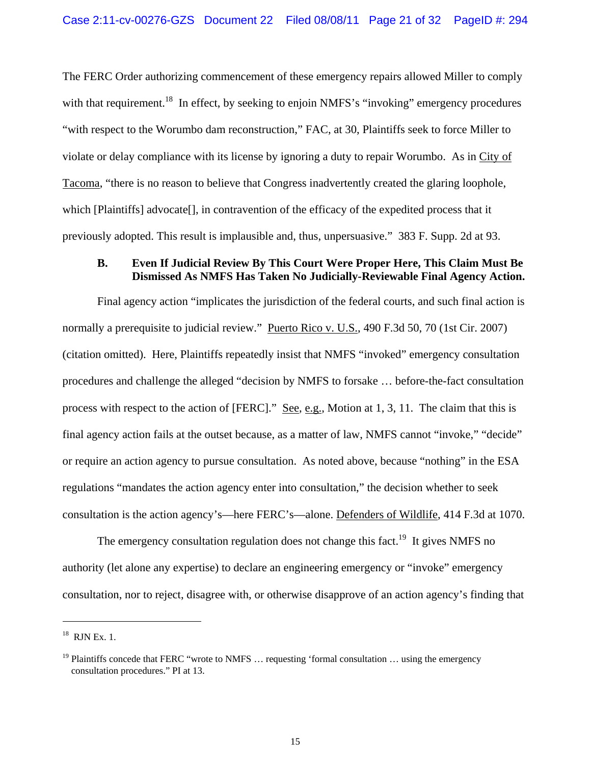The FERC Order authorizing commencement of these emergency repairs allowed Miller to comply with that requirement.<sup>18</sup> In effect, by seeking to enjoin NMFS's "invoking" emergency procedures "with respect to the Worumbo dam reconstruction," FAC, at 30, Plaintiffs seek to force Miller to violate or delay compliance with its license by ignoring a duty to repair Worumbo. As in City of Tacoma, "there is no reason to believe that Congress inadvertently created the glaring loophole, which [Plaintiffs] advocate[], in contravention of the efficacy of the expedited process that it previously adopted. This result is implausible and, thus, unpersuasive." 383 F. Supp. 2d at 93.

## **B. Even If Judicial Review By This Court Were Proper Here, This Claim Must Be Dismissed As NMFS Has Taken No Judicially-Reviewable Final Agency Action.**

Final agency action "implicates the jurisdiction of the federal courts, and such final action is normally a prerequisite to judicial review." Puerto Rico v. U.S., 490 F.3d 50, 70 (1st Cir. 2007) (citation omitted). Here, Plaintiffs repeatedly insist that NMFS "invoked" emergency consultation procedures and challenge the alleged "decision by NMFS to forsake … before-the-fact consultation process with respect to the action of [FERC]." See, e.g., Motion at 1, 3, 11. The claim that this is final agency action fails at the outset because, as a matter of law, NMFS cannot "invoke," "decide" or require an action agency to pursue consultation. As noted above, because "nothing" in the ESA regulations "mandates the action agency enter into consultation," the decision whether to seek consultation is the action agency's—here FERC's—alone. Defenders of Wildlife, 414 F.3d at 1070.

The emergency consultation regulation does not change this fact.<sup>19</sup> It gives NMFS no authority (let alone any expertise) to declare an engineering emergency or "invoke" emergency consultation, nor to reject, disagree with, or otherwise disapprove of an action agency's finding that

 $18$  RJN Ex. 1.

<sup>&</sup>lt;sup>19</sup> Plaintiffs concede that FERC "wrote to NMFS  $\ldots$  requesting 'formal consultation  $\ldots$  using the emergency consultation procedures." PI at 13.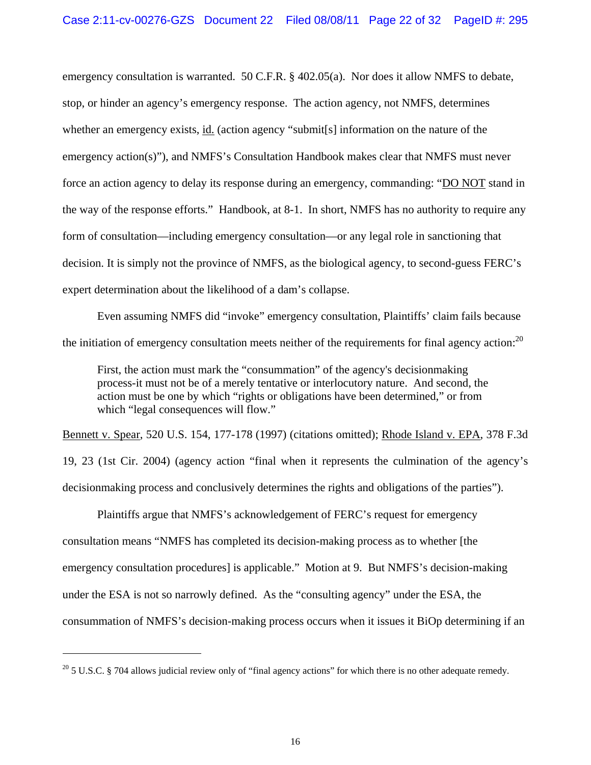emergency consultation is warranted. 50 C.F.R. § 402.05(a). Nor does it allow NMFS to debate, stop, or hinder an agency's emergency response. The action agency, not NMFS, determines whether an emergency exists, id. (action agency "submit[s] information on the nature of the emergency action(s)"), and NMFS's Consultation Handbook makes clear that NMFS must never force an action agency to delay its response during an emergency, commanding: "DO NOT stand in the way of the response efforts." Handbook, at 8-1. In short, NMFS has no authority to require any form of consultation—including emergency consultation—or any legal role in sanctioning that decision. It is simply not the province of NMFS, as the biological agency, to second-guess FERC's expert determination about the likelihood of a dam's collapse.

Even assuming NMFS did "invoke" emergency consultation, Plaintiffs' claim fails because the initiation of emergency consultation meets neither of the requirements for final agency action:<sup>20</sup>

First, the action must mark the "consummation" of the agency's decisionmaking process-it must not be of a merely tentative or interlocutory nature. And second, the action must be one by which "rights or obligations have been determined," or from which "legal consequences will flow."

Bennett v. Spear, 520 U.S. 154, 177-178 (1997) (citations omitted); Rhode Island v. EPA, 378 F.3d 19, 23 (1st Cir. 2004) (agency action "final when it represents the culmination of the agency's decisionmaking process and conclusively determines the rights and obligations of the parties").

Plaintiffs argue that NMFS's acknowledgement of FERC's request for emergency consultation means "NMFS has completed its decision-making process as to whether [the emergency consultation procedures] is applicable." Motion at 9. But NMFS's decision-making under the ESA is not so narrowly defined. As the "consulting agency" under the ESA, the consummation of NMFS's decision-making process occurs when it issues it BiOp determining if an

 $20$  5 U.S.C. § 704 allows judicial review only of "final agency actions" for which there is no other adequate remedy.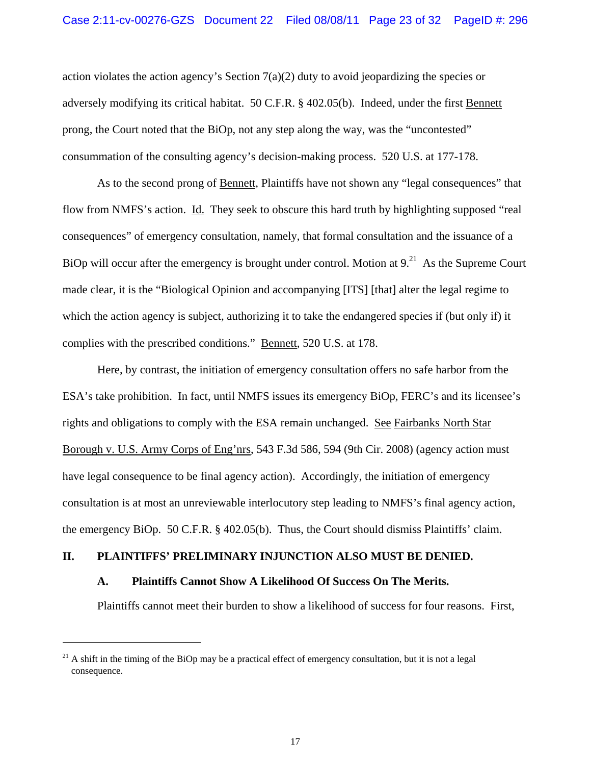action violates the action agency's Section  $7(a)(2)$  duty to avoid jeopardizing the species or adversely modifying its critical habitat. 50 C.F.R. § 402.05(b). Indeed, under the first Bennett prong, the Court noted that the BiOp, not any step along the way, was the "uncontested" consummation of the consulting agency's decision-making process. 520 U.S. at 177-178.

As to the second prong of Bennett, Plaintiffs have not shown any "legal consequences" that flow from NMFS's action. Id. They seek to obscure this hard truth by highlighting supposed "real consequences" of emergency consultation, namely, that formal consultation and the issuance of a BiOp will occur after the emergency is brought under control. Motion at  $9<sup>21</sup>$  As the Supreme Court made clear, it is the "Biological Opinion and accompanying [ITS] [that] alter the legal regime to which the action agency is subject, authorizing it to take the endangered species if (but only if) it complies with the prescribed conditions." Bennett, 520 U.S. at 178.

Here, by contrast, the initiation of emergency consultation offers no safe harbor from the ESA's take prohibition. In fact, until NMFS issues its emergency BiOp, FERC's and its licensee's rights and obligations to comply with the ESA remain unchanged. See Fairbanks North Star Borough v. U.S. Army Corps of Eng'nrs, 543 F.3d 586, 594 (9th Cir. 2008) (agency action must have legal consequence to be final agency action). Accordingly, the initiation of emergency consultation is at most an unreviewable interlocutory step leading to NMFS's final agency action, the emergency BiOp. 50 C.F.R. § 402.05(b). Thus, the Court should dismiss Plaintiffs' claim.

## **II. PLAINTIFFS' PRELIMINARY INJUNCTION ALSO MUST BE DENIED.**

### **A. Plaintiffs Cannot Show A Likelihood Of Success On The Merits.**

Plaintiffs cannot meet their burden to show a likelihood of success for four reasons. First,

 $^{21}$  A shift in the timing of the BiOp may be a practical effect of emergency consultation, but it is not a legal consequence.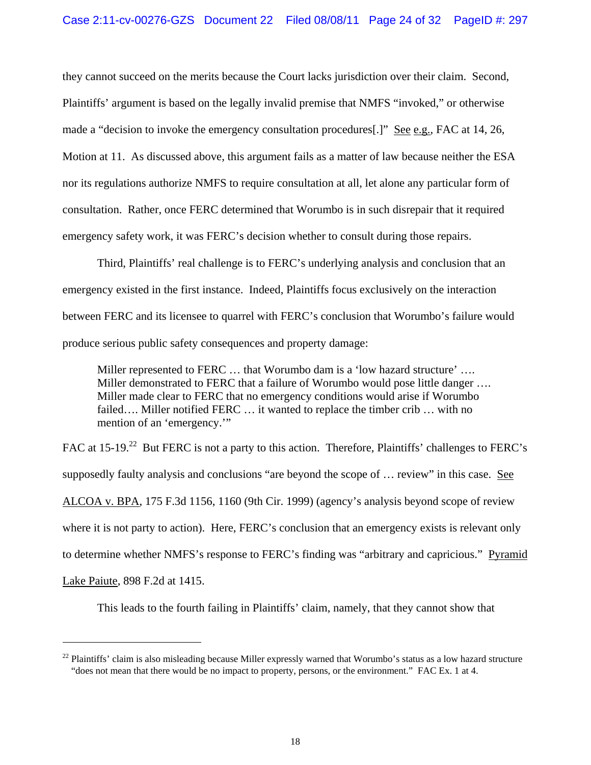they cannot succeed on the merits because the Court lacks jurisdiction over their claim. Second, Plaintiffs' argument is based on the legally invalid premise that NMFS "invoked," or otherwise made a "decision to invoke the emergency consultation procedures[.]" See e.g., FAC at 14, 26, Motion at 11. As discussed above, this argument fails as a matter of law because neither the ESA nor its regulations authorize NMFS to require consultation at all, let alone any particular form of consultation. Rather, once FERC determined that Worumbo is in such disrepair that it required emergency safety work, it was FERC's decision whether to consult during those repairs.

Third, Plaintiffs' real challenge is to FERC's underlying analysis and conclusion that an emergency existed in the first instance. Indeed, Plaintiffs focus exclusively on the interaction between FERC and its licensee to quarrel with FERC's conclusion that Worumbo's failure would produce serious public safety consequences and property damage:

Miller represented to FERC ... that Worumbo dam is a 'low hazard structure' ... Miller demonstrated to FERC that a failure of Worumbo would pose little danger .... Miller made clear to FERC that no emergency conditions would arise if Worumbo failed…. Miller notified FERC … it wanted to replace the timber crib … with no mention of an 'emergency.'"

FAC at 15-19.<sup>22</sup> But FERC is not a party to this action. Therefore, Plaintiffs' challenges to FERC's supposedly faulty analysis and conclusions "are beyond the scope of … review" in this case. See ALCOA v. BPA, 175 F.3d 1156, 1160 (9th Cir. 1999) (agency's analysis beyond scope of review where it is not party to action). Here, FERC's conclusion that an emergency exists is relevant only to determine whether NMFS's response to FERC's finding was "arbitrary and capricious." Pyramid Lake Paiute, 898 F.2d at 1415.

This leads to the fourth failing in Plaintiffs' claim, namely, that they cannot show that

 $22$  Plaintiffs' claim is also misleading because Miller expressly warned that Worumbo's status as a low hazard structure "does not mean that there would be no impact to property, persons, or the environment." FAC Ex. 1 at 4.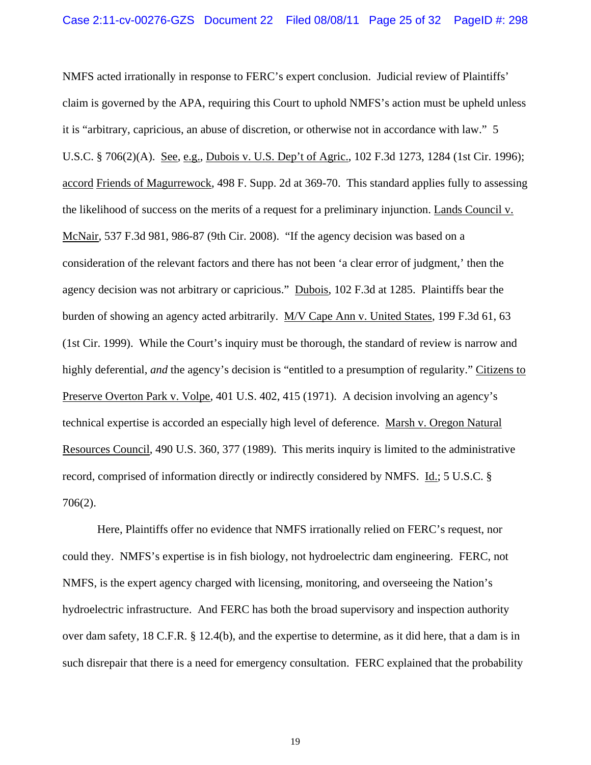NMFS acted irrationally in response to FERC's expert conclusion. Judicial review of Plaintiffs' claim is governed by the APA, requiring this Court to uphold NMFS's action must be upheld unless it is "arbitrary, capricious, an abuse of discretion, or otherwise not in accordance with law." 5 U.S.C. § 706(2)(A). See, e.g., Dubois v. U.S. Dep't of Agric., 102 F.3d 1273, 1284 (1st Cir. 1996); accord Friends of Magurrewock, 498 F. Supp. 2d at 369-70. This standard applies fully to assessing the likelihood of success on the merits of a request for a preliminary injunction. Lands Council v. McNair, 537 F.3d 981, 986-87 (9th Cir. 2008). "If the agency decision was based on a consideration of the relevant factors and there has not been 'a clear error of judgment,' then the agency decision was not arbitrary or capricious." Dubois, 102 F.3d at 1285. Plaintiffs bear the burden of showing an agency acted arbitrarily. M/V Cape Ann v. United States, 199 F.3d 61, 63 (1st Cir. 1999). While the Court's inquiry must be thorough, the standard of review is narrow and highly deferential, *and* the agency's decision is "entitled to a presumption of regularity." Citizens to Preserve Overton Park v. Volpe, 401 U.S. 402, 415 (1971). A decision involving an agency's technical expertise is accorded an especially high level of deference. Marsh v. Oregon Natural Resources Council, 490 U.S. 360, 377 (1989). This merits inquiry is limited to the administrative record, comprised of information directly or indirectly considered by NMFS. Id.; 5 U.S.C. § 706(2).

Here, Plaintiffs offer no evidence that NMFS irrationally relied on FERC's request, nor could they. NMFS's expertise is in fish biology, not hydroelectric dam engineering. FERC, not NMFS, is the expert agency charged with licensing, monitoring, and overseeing the Nation's hydroelectric infrastructure. And FERC has both the broad supervisory and inspection authority over dam safety, 18 C.F.R. § 12.4(b), and the expertise to determine, as it did here, that a dam is in such disrepair that there is a need for emergency consultation. FERC explained that the probability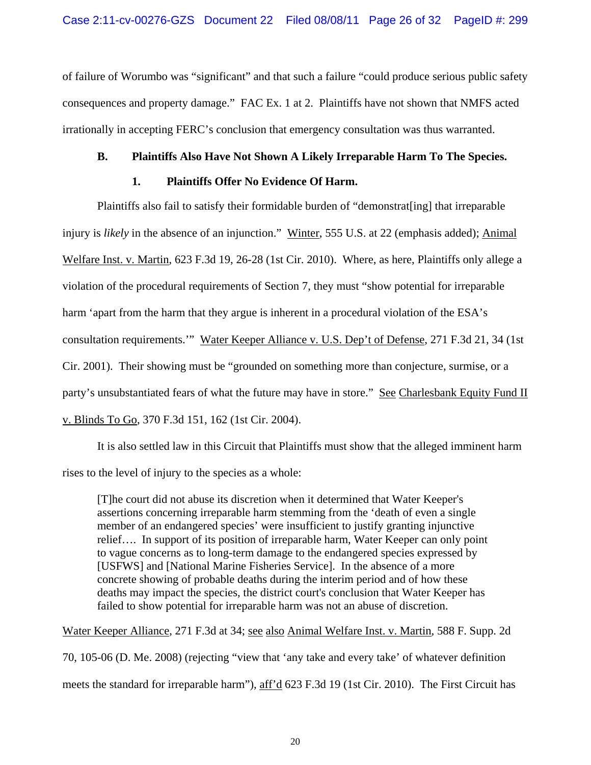of failure of Worumbo was "significant" and that such a failure "could produce serious public safety consequences and property damage." FAC Ex. 1 at 2. Plaintiffs have not shown that NMFS acted irrationally in accepting FERC's conclusion that emergency consultation was thus warranted.

## **B. Plaintiffs Also Have Not Shown A Likely Irreparable Harm To The Species.**

## **1. Plaintiffs Offer No Evidence Of Harm.**

Plaintiffs also fail to satisfy their formidable burden of "demonstrat[ing] that irreparable injury is *likely* in the absence of an injunction." Winter, 555 U.S. at 22 (emphasis added); Animal Welfare Inst. v. Martin, 623 F.3d 19, 26-28 (1st Cir. 2010). Where, as here, Plaintiffs only allege a violation of the procedural requirements of Section 7, they must "show potential for irreparable harm 'apart from the harm that they argue is inherent in a procedural violation of the ESA's consultation requirements.'" Water Keeper Alliance v. U.S. Dep't of Defense, 271 F.3d 21, 34 (1st Cir. 2001). Their showing must be "grounded on something more than conjecture, surmise, or a party's unsubstantiated fears of what the future may have in store." See Charlesbank Equity Fund II v. Blinds To Go, 370 F.3d 151, 162 (1st Cir. 2004).

It is also settled law in this Circuit that Plaintiffs must show that the alleged imminent harm rises to the level of injury to the species as a whole:

[T]he court did not abuse its discretion when it determined that Water Keeper's assertions concerning irreparable harm stemming from the 'death of even a single member of an endangered species' were insufficient to justify granting injunctive relief…. In support of its position of irreparable harm, Water Keeper can only point to vague concerns as to long-term damage to the endangered species expressed by [USFWS] and [National Marine Fisheries Service]. In the absence of a more concrete showing of probable deaths during the interim period and of how these deaths may impact the species, the district court's conclusion that Water Keeper has failed to show potential for irreparable harm was not an abuse of discretion.

Water Keeper Alliance, 271 F.3d at 34; see also Animal Welfare Inst. v. Martin, 588 F. Supp. 2d

70, 105-06 (D. Me. 2008) (rejecting "view that 'any take and every take' of whatever definition

meets the standard for irreparable harm"), aff'd 623 F.3d 19 (1st Cir. 2010). The First Circuit has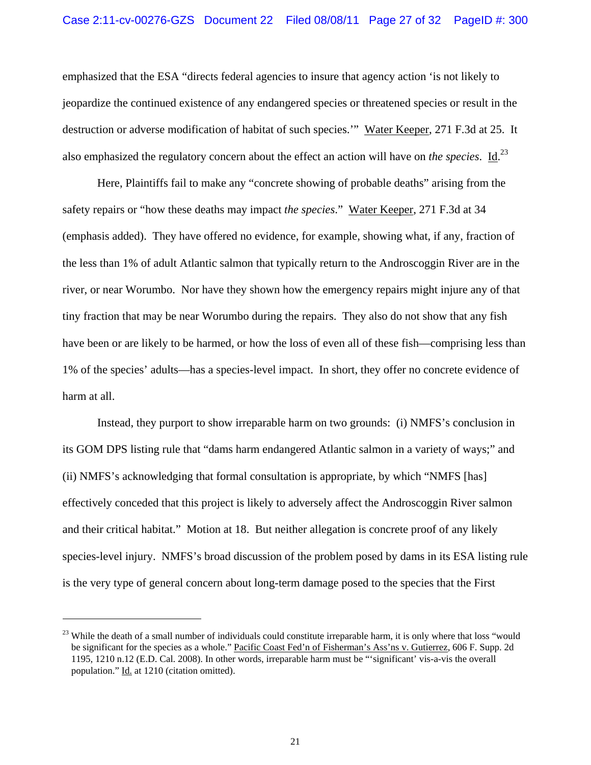emphasized that the ESA "directs federal agencies to insure that agency action 'is not likely to jeopardize the continued existence of any endangered species or threatened species or result in the destruction or adverse modification of habitat of such species.'" Water Keeper, 271 F.3d at 25. It also emphasized the regulatory concern about the effect an action will have on *the species*. Id. 23

Here, Plaintiffs fail to make any "concrete showing of probable deaths" arising from the safety repairs or "how these deaths may impact *the species*." Water Keeper, 271 F.3d at 34 (emphasis added). They have offered no evidence, for example, showing what, if any, fraction of the less than 1% of adult Atlantic salmon that typically return to the Androscoggin River are in the river, or near Worumbo. Nor have they shown how the emergency repairs might injure any of that tiny fraction that may be near Worumbo during the repairs. They also do not show that any fish have been or are likely to be harmed, or how the loss of even all of these fish—comprising less than 1% of the species' adults—has a species-level impact. In short, they offer no concrete evidence of harm at all.

Instead, they purport to show irreparable harm on two grounds: (i) NMFS's conclusion in its GOM DPS listing rule that "dams harm endangered Atlantic salmon in a variety of ways;" and (ii) NMFS's acknowledging that formal consultation is appropriate, by which "NMFS [has] effectively conceded that this project is likely to adversely affect the Androscoggin River salmon and their critical habitat." Motion at 18. But neither allegation is concrete proof of any likely species-level injury. NMFS's broad discussion of the problem posed by dams in its ESA listing rule is the very type of general concern about long-term damage posed to the species that the First

 $23$  While the death of a small number of individuals could constitute irreparable harm, it is only where that loss "would" be significant for the species as a whole." Pacific Coast Fed'n of Fisherman's Ass'ns v. Gutierrez, 606 F. Supp. 2d 1195, 1210 n.12 (E.D. Cal. 2008). In other words, irreparable harm must be "'significant' vis-a-vis the overall population." Id. at 1210 (citation omitted).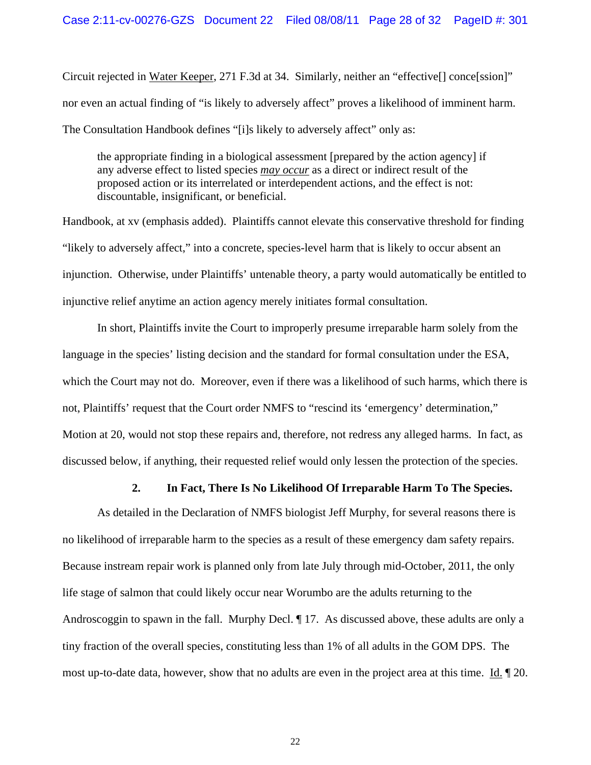Circuit rejected in Water Keeper, 271 F.3d at 34. Similarly, neither an "effective[] conce[ssion]" nor even an actual finding of "is likely to adversely affect" proves a likelihood of imminent harm. The Consultation Handbook defines "[i]s likely to adversely affect" only as:

the appropriate finding in a biological assessment [prepared by the action agency] if any adverse effect to listed species *may occur* as a direct or indirect result of the proposed action or its interrelated or interdependent actions, and the effect is not: discountable, insignificant, or beneficial.

Handbook, at xv (emphasis added). Plaintiffs cannot elevate this conservative threshold for finding "likely to adversely affect," into a concrete, species-level harm that is likely to occur absent an injunction. Otherwise, under Plaintiffs' untenable theory, a party would automatically be entitled to injunctive relief anytime an action agency merely initiates formal consultation.

In short, Plaintiffs invite the Court to improperly presume irreparable harm solely from the language in the species' listing decision and the standard for formal consultation under the ESA, which the Court may not do. Moreover, even if there was a likelihood of such harms, which there is not, Plaintiffs' request that the Court order NMFS to "rescind its 'emergency' determination," Motion at 20, would not stop these repairs and, therefore, not redress any alleged harms. In fact, as discussed below, if anything, their requested relief would only lessen the protection of the species.

### **2. In Fact, There Is No Likelihood Of Irreparable Harm To The Species.**

As detailed in the Declaration of NMFS biologist Jeff Murphy, for several reasons there is no likelihood of irreparable harm to the species as a result of these emergency dam safety repairs. Because instream repair work is planned only from late July through mid-October, 2011, the only life stage of salmon that could likely occur near Worumbo are the adults returning to the Androscoggin to spawn in the fall. Murphy Decl. 17. As discussed above, these adults are only a tiny fraction of the overall species, constituting less than 1% of all adults in the GOM DPS. The most up-to-date data, however, show that no adults are even in the project area at this time. Id. ¶ 20.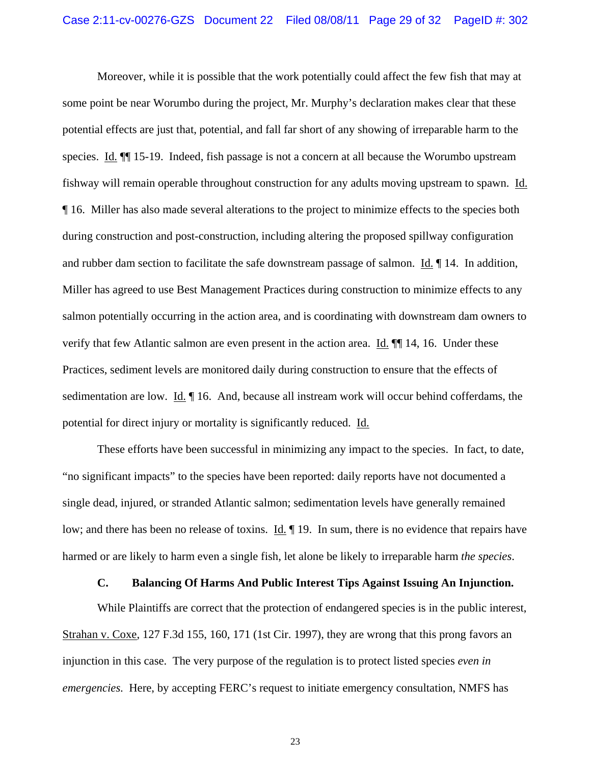Moreover, while it is possible that the work potentially could affect the few fish that may at some point be near Worumbo during the project, Mr. Murphy's declaration makes clear that these potential effects are just that, potential, and fall far short of any showing of irreparable harm to the species. Id.  $\P$  15-19. Indeed, fish passage is not a concern at all because the Worumbo upstream fishway will remain operable throughout construction for any adults moving upstream to spawn. Id. ¶ 16. Miller has also made several alterations to the project to minimize effects to the species both during construction and post-construction, including altering the proposed spillway configuration and rubber dam section to facilitate the safe downstream passage of salmon. Id. ¶ 14. In addition, Miller has agreed to use Best Management Practices during construction to minimize effects to any salmon potentially occurring in the action area, and is coordinating with downstream dam owners to verify that few Atlantic salmon are even present in the action area. Id. ¶¶ 14, 16. Under these Practices, sediment levels are monitored daily during construction to ensure that the effects of sedimentation are low. Id. ¶ 16. And, because all instream work will occur behind cofferdams, the potential for direct injury or mortality is significantly reduced. Id.

These efforts have been successful in minimizing any impact to the species. In fact, to date, "no significant impacts" to the species have been reported: daily reports have not documented a single dead, injured, or stranded Atlantic salmon; sedimentation levels have generally remained low; and there has been no release of toxins. Id.  $\parallel$  19. In sum, there is no evidence that repairs have harmed or are likely to harm even a single fish, let alone be likely to irreparable harm *the species*.

### **C. Balancing Of Harms And Public Interest Tips Against Issuing An Injunction.**

While Plaintiffs are correct that the protection of endangered species is in the public interest, Strahan v. Coxe, 127 F.3d 155, 160, 171 (1st Cir. 1997), they are wrong that this prong favors an injunction in this case. The very purpose of the regulation is to protect listed species *even in emergencies*. Here, by accepting FERC's request to initiate emergency consultation, NMFS has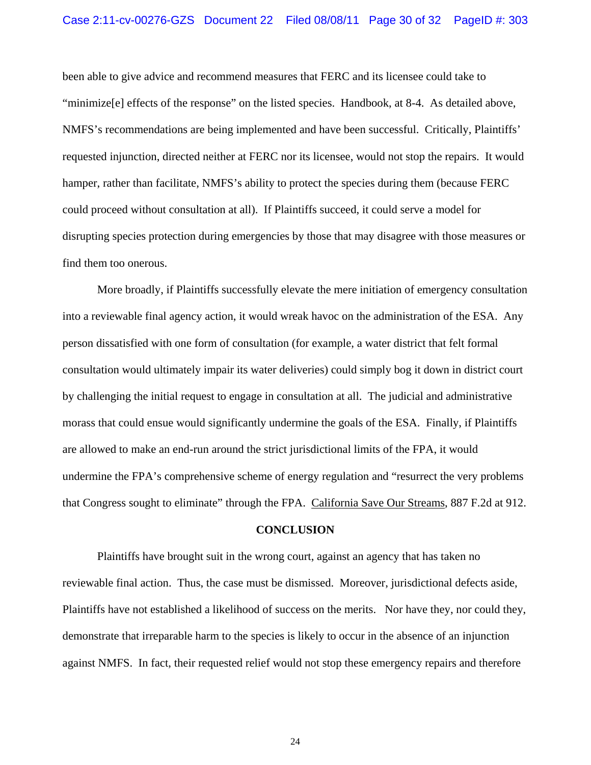been able to give advice and recommend measures that FERC and its licensee could take to "minimize[e] effects of the response" on the listed species. Handbook, at 8-4. As detailed above, NMFS's recommendations are being implemented and have been successful. Critically, Plaintiffs' requested injunction, directed neither at FERC nor its licensee, would not stop the repairs. It would hamper, rather than facilitate, NMFS's ability to protect the species during them (because FERC could proceed without consultation at all). If Plaintiffs succeed, it could serve a model for disrupting species protection during emergencies by those that may disagree with those measures or find them too onerous.

More broadly, if Plaintiffs successfully elevate the mere initiation of emergency consultation into a reviewable final agency action, it would wreak havoc on the administration of the ESA. Any person dissatisfied with one form of consultation (for example, a water district that felt formal consultation would ultimately impair its water deliveries) could simply bog it down in district court by challenging the initial request to engage in consultation at all. The judicial and administrative morass that could ensue would significantly undermine the goals of the ESA. Finally, if Plaintiffs are allowed to make an end-run around the strict jurisdictional limits of the FPA, it would undermine the FPA's comprehensive scheme of energy regulation and "resurrect the very problems that Congress sought to eliminate" through the FPA. California Save Our Streams, 887 F.2d at 912.

#### **CONCLUSION**

Plaintiffs have brought suit in the wrong court, against an agency that has taken no reviewable final action. Thus, the case must be dismissed. Moreover, jurisdictional defects aside, Plaintiffs have not established a likelihood of success on the merits. Nor have they, nor could they, demonstrate that irreparable harm to the species is likely to occur in the absence of an injunction against NMFS. In fact, their requested relief would not stop these emergency repairs and therefore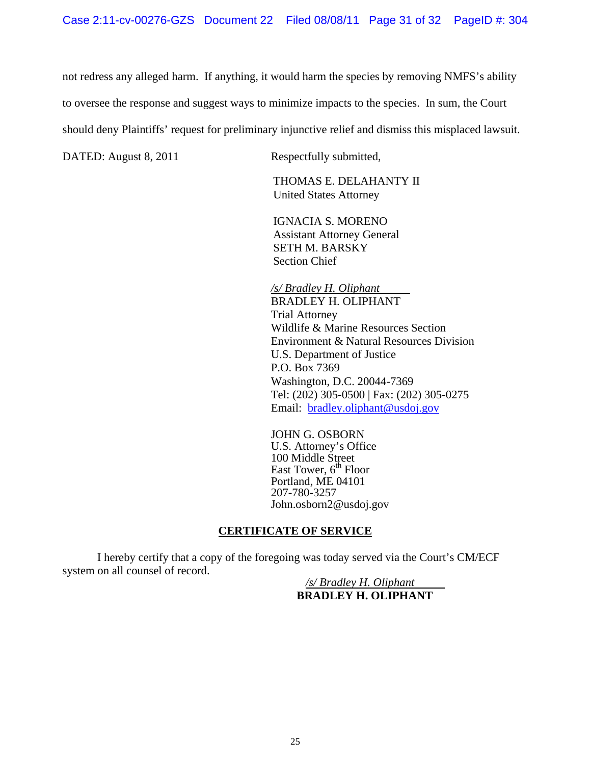not redress any alleged harm. If anything, it would harm the species by removing NMFS's ability

to oversee the response and suggest ways to minimize impacts to the species. In sum, the Court

should deny Plaintiffs' request for preliminary injunctive relief and dismiss this misplaced lawsuit.

DATED: August 8, 2011 Respectfully submitted,

THOMAS E. DELAHANTY II United States Attorney

IGNACIA S. MORENO Assistant Attorney General SETH M. BARSKY Section Chief

*/s/ Bradley H. Oliphant*  BRADLEY H. OLIPHANT Trial Attorney Wildlife & Marine Resources Section Environment & Natural Resources Division U.S. Department of Justice P.O. Box 7369 Washington, D.C. 20044-7369 Tel: (202) 305-0500 | Fax: (202) 305-0275 Email: bradley.oliphant@usdoj.gov

JOHN G. OSBORN U.S. Attorney's Office 100 Middle Street East Tower,  $6<sup>th</sup>$  Floor Portland, ME 04101 207-780-3257 John.osborn2@usdoj.gov

# **CERTIFICATE OF SERVICE**

I hereby certify that a copy of the foregoing was today served via the Court's CM/ECF system on all counsel of record.

*/s/ Bradley H. Oliphant*  **BRADLEY H. OLIPHANT**